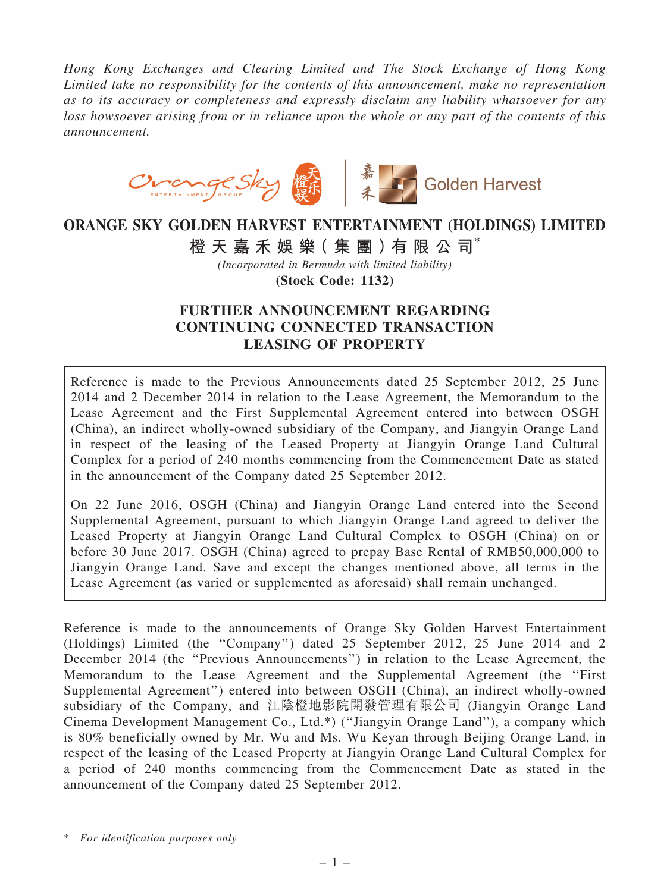*Hong Kong Exchanges and Clearing Limited and The Stock Exchange of Hong Kong Limited take no responsibility for the contents of this announcement, make no representation as to its accuracy or completeness and expressly disclaim any liability whatsoever for any loss howsoever arising from or in reliance upon the whole or any part of the contents of this announcement.*



# ORANGE SKY GOLDEN HARVEST ENTERTAINMENT (HOLDINGS) LIMITED

橙 天 嘉 禾 娛 樂 (集 團 ) 有 限 公 司 $^*$ 

*(Incorporated in Bermuda with limited liability)* (Stock Code: 1132)

## FURTHER ANNOUNCEMENT REGARDING CONTINUING CONNECTED TRANSACTION LEASING OF PROPERTY

Reference is made to the Previous Announcements dated 25 September 2012, 25 June 2014 and 2 December 2014 in relation to the Lease Agreement, the Memorandum to the Lease Agreement and the First Supplemental Agreement entered into between OSGH (China), an indirect wholly-owned subsidiary of the Company, and Jiangyin Orange Land in respect of the leasing of the Leased Property at Jiangyin Orange Land Cultural Complex for a period of 240 months commencing from the Commencement Date as stated in the announcement of the Company dated 25 September 2012.

On 22 June 2016, OSGH (China) and Jiangyin Orange Land entered into the Second Supplemental Agreement, pursuant to which Jiangyin Orange Land agreed to deliver the Leased Property at Jiangyin Orange Land Cultural Complex to OSGH (China) on or before 30 June 2017. OSGH (China) agreed to prepay Base Rental of RMB50,000,000 to Jiangyin Orange Land. Save and except the changes mentioned above, all terms in the Lease Agreement (as varied or supplemented as aforesaid) shall remain unchanged.

Reference is made to the announcements of Orange Sky Golden Harvest Entertainment (Holdings) Limited (the ''Company'') dated 25 September 2012, 25 June 2014 and 2 December 2014 (the ''Previous Announcements'') in relation to the Lease Agreement, the Memorandum to the Lease Agreement and the Supplemental Agreement (the ''First Supplemental Agreement'') entered into between OSGH (China), an indirect wholly-owned subsidiary of the Company, and 江陰橙地影院開發管理有限公司 (Jiangyin Orange Land Cinema Development Management Co., Ltd.\*) (''Jiangyin Orange Land''), a company which is 80% beneficially owned by Mr. Wu and Ms. Wu Keyan through Beijing Orange Land, in respect of the leasing of the Leased Property at Jiangyin Orange Land Cultural Complex for a period of 240 months commencing from the Commencement Date as stated in the announcement of the Company dated 25 September 2012.

\* *For identification purposes only*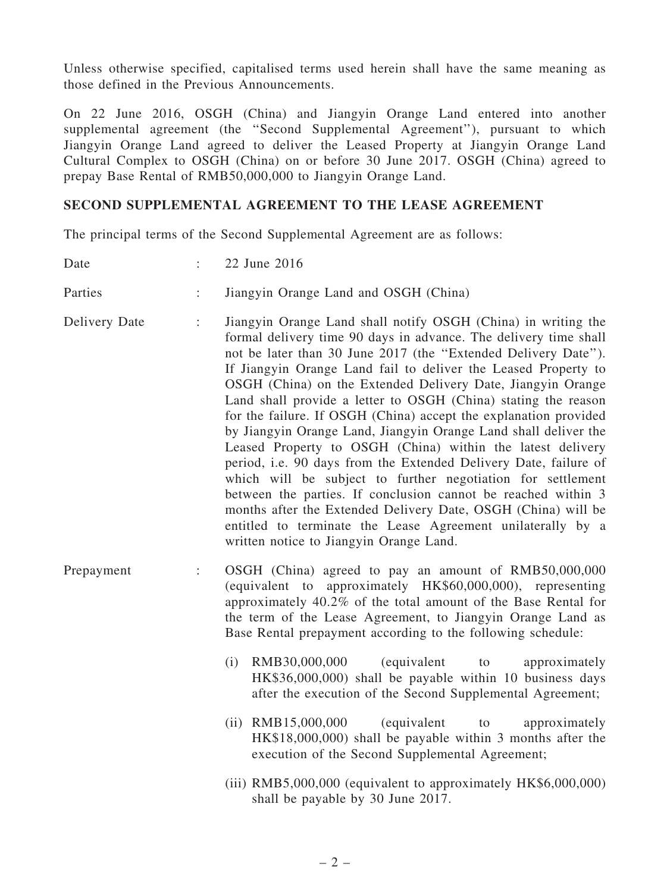Unless otherwise specified, capitalised terms used herein shall have the same meaning as those defined in the Previous Announcements.

On 22 June 2016, OSGH (China) and Jiangyin Orange Land entered into another supplemental agreement (the ''Second Supplemental Agreement''), pursuant to which Jiangyin Orange Land agreed to deliver the Leased Property at Jiangyin Orange Land Cultural Complex to OSGH (China) on or before 30 June 2017. OSGH (China) agreed to prepay Base Rental of RMB50,000,000 to Jiangyin Orange Land.

## SECOND SUPPLEMENTAL AGREEMENT TO THE LEASE AGREEMENT

The principal terms of the Second Supplemental Agreement are as follows:

| Date          | ÷. | 22 June 2016                                                                                                                                                                                                                                                                                                                                                                                                                                                                                                                                                                                                                                                                                                                                                                                                                                                                                                                                                                               |
|---------------|----|--------------------------------------------------------------------------------------------------------------------------------------------------------------------------------------------------------------------------------------------------------------------------------------------------------------------------------------------------------------------------------------------------------------------------------------------------------------------------------------------------------------------------------------------------------------------------------------------------------------------------------------------------------------------------------------------------------------------------------------------------------------------------------------------------------------------------------------------------------------------------------------------------------------------------------------------------------------------------------------------|
| Parties       |    | Jiangyin Orange Land and OSGH (China)                                                                                                                                                                                                                                                                                                                                                                                                                                                                                                                                                                                                                                                                                                                                                                                                                                                                                                                                                      |
| Delivery Date | ÷  | Jiangyin Orange Land shall notify OSGH (China) in writing the<br>formal delivery time 90 days in advance. The delivery time shall<br>not be later than 30 June 2017 (the "Extended Delivery Date").<br>If Jiangyin Orange Land fail to deliver the Leased Property to<br>OSGH (China) on the Extended Delivery Date, Jiangyin Orange<br>Land shall provide a letter to OSGH (China) stating the reason<br>for the failure. If OSGH (China) accept the explanation provided<br>by Jiangyin Orange Land, Jiangyin Orange Land shall deliver the<br>Leased Property to OSGH (China) within the latest delivery<br>period, i.e. 90 days from the Extended Delivery Date, failure of<br>which will be subject to further negotiation for settlement<br>between the parties. If conclusion cannot be reached within 3<br>months after the Extended Delivery Date, OSGH (China) will be<br>entitled to terminate the Lease Agreement unilaterally by a<br>written notice to Jiangyin Orange Land. |
| Prepayment    |    | OSGH (China) agreed to pay an amount of RMB50,000,000<br>(equivalent to approximately HK\$60,000,000), representing<br>approximately 40.2% of the total amount of the Base Rental for<br>the term of the Lease Agreement, to Jiangyin Orange Land as<br>Base Rental prepayment according to the following schedule:<br>RMB30,000,000<br>(equivalent<br>(i)<br>approximately<br>to<br>HK\$36,000,000) shall be payable within 10 business days<br>after the execution of the Second Supplemental Agreement;<br>(ii) RMB15,000,000<br>(equivalent<br>approximately<br>to<br>HK\$18,000,000) shall be payable within 3 months after the<br>execution of the Second Supplemental Agreement;<br>(iii) RMB5,000,000 (equivalent to approximately HK\$6,000,000)<br>shall be payable by 30 June 2017.                                                                                                                                                                                             |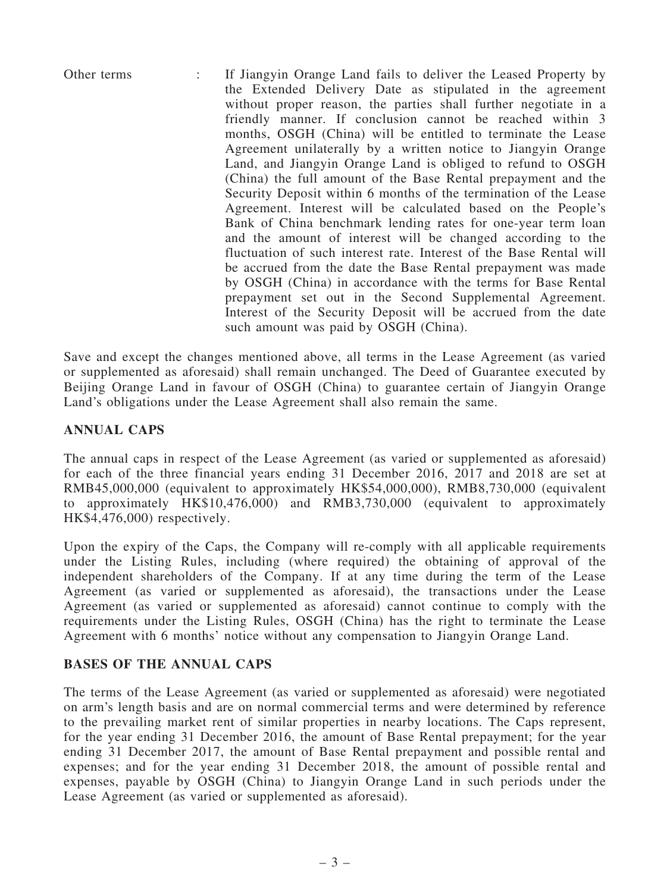Other terms : If Jiangyin Orange Land fails to deliver the Leased Property by the Extended Delivery Date as stipulated in the agreement without proper reason, the parties shall further negotiate in a friendly manner. If conclusion cannot be reached within 3 months, OSGH (China) will be entitled to terminate the Lease Agreement unilaterally by a written notice to Jiangyin Orange Land, and Jiangyin Orange Land is obliged to refund to OSGH (China) the full amount of the Base Rental prepayment and the Security Deposit within 6 months of the termination of the Lease Agreement. Interest will be calculated based on the People's Bank of China benchmark lending rates for one-year term loan and the amount of interest will be changed according to the fluctuation of such interest rate. Interest of the Base Rental will be accrued from the date the Base Rental prepayment was made by OSGH (China) in accordance with the terms for Base Rental prepayment set out in the Second Supplemental Agreement. Interest of the Security Deposit will be accrued from the date such amount was paid by OSGH (China).

Save and except the changes mentioned above, all terms in the Lease Agreement (as varied or supplemented as aforesaid) shall remain unchanged. The Deed of Guarantee executed by Beijing Orange Land in favour of OSGH (China) to guarantee certain of Jiangyin Orange Land's obligations under the Lease Agreement shall also remain the same.

## ANNUAL CAPS

The annual caps in respect of the Lease Agreement (as varied or supplemented as aforesaid) for each of the three financial years ending 31 December 2016, 2017 and 2018 are set at RMB45,000,000 (equivalent to approximately HK\$54,000,000), RMB8,730,000 (equivalent to approximately HK\$10,476,000) and RMB3,730,000 (equivalent to approximately HK\$4,476,000) respectively.

Upon the expiry of the Caps, the Company will re-comply with all applicable requirements under the Listing Rules, including (where required) the obtaining of approval of the independent shareholders of the Company. If at any time during the term of the Lease Agreement (as varied or supplemented as aforesaid), the transactions under the Lease Agreement (as varied or supplemented as aforesaid) cannot continue to comply with the requirements under the Listing Rules, OSGH (China) has the right to terminate the Lease Agreement with 6 months' notice without any compensation to Jiangyin Orange Land.

#### BASES OF THE ANNUAL CAPS

The terms of the Lease Agreement (as varied or supplemented as aforesaid) were negotiated on arm's length basis and are on normal commercial terms and were determined by reference to the prevailing market rent of similar properties in nearby locations. The Caps represent, for the year ending 31 December 2016, the amount of Base Rental prepayment; for the year ending 31 December 2017, the amount of Base Rental prepayment and possible rental and expenses; and for the year ending 31 December 2018, the amount of possible rental and expenses, payable by OSGH (China) to Jiangyin Orange Land in such periods under the Lease Agreement (as varied or supplemented as aforesaid).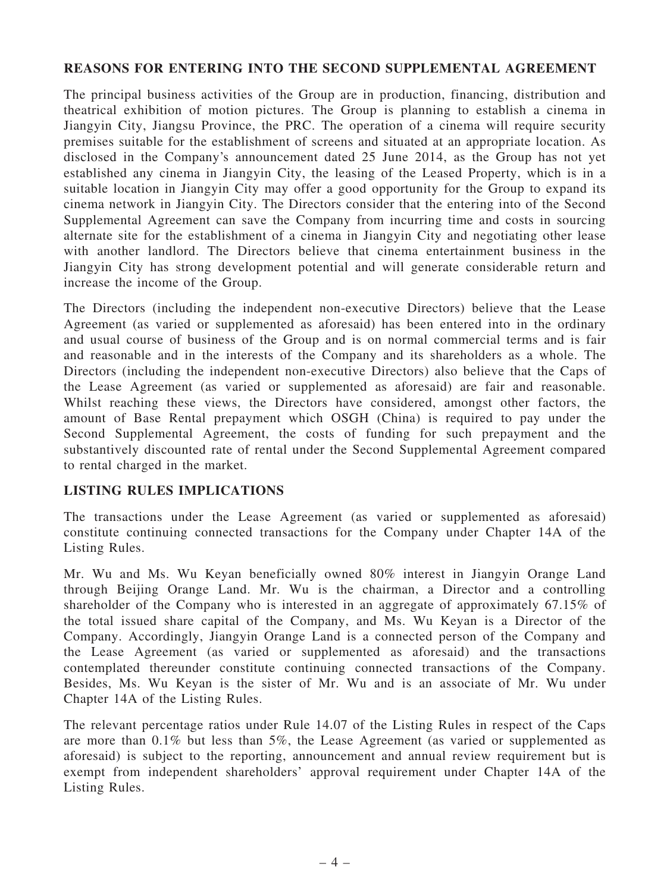#### REASONS FOR ENTERING INTO THE SECOND SUPPLEMENTAL AGREEMENT

The principal business activities of the Group are in production, financing, distribution and theatrical exhibition of motion pictures. The Group is planning to establish a cinema in Jiangyin City, Jiangsu Province, the PRC. The operation of a cinema will require security premises suitable for the establishment of screens and situated at an appropriate location. As disclosed in the Company's announcement dated 25 June 2014, as the Group has not yet established any cinema in Jiangyin City, the leasing of the Leased Property, which is in a suitable location in Jiangyin City may offer a good opportunity for the Group to expand its cinema network in Jiangyin City. The Directors consider that the entering into of the Second Supplemental Agreement can save the Company from incurring time and costs in sourcing alternate site for the establishment of a cinema in Jiangyin City and negotiating other lease with another landlord. The Directors believe that cinema entertainment business in the Jiangyin City has strong development potential and will generate considerable return and increase the income of the Group.

The Directors (including the independent non-executive Directors) believe that the Lease Agreement (as varied or supplemented as aforesaid) has been entered into in the ordinary and usual course of business of the Group and is on normal commercial terms and is fair and reasonable and in the interests of the Company and its shareholders as a whole. The Directors (including the independent non-executive Directors) also believe that the Caps of the Lease Agreement (as varied or supplemented as aforesaid) are fair and reasonable. Whilst reaching these views, the Directors have considered, amongst other factors, the amount of Base Rental prepayment which OSGH (China) is required to pay under the Second Supplemental Agreement, the costs of funding for such prepayment and the substantively discounted rate of rental under the Second Supplemental Agreement compared to rental charged in the market.

## LISTING RULES IMPLICATIONS

The transactions under the Lease Agreement (as varied or supplemented as aforesaid) constitute continuing connected transactions for the Company under Chapter 14A of the Listing Rules.

Mr. Wu and Ms. Wu Keyan beneficially owned 80% interest in Jiangyin Orange Land through Beijing Orange Land. Mr. Wu is the chairman, a Director and a controlling shareholder of the Company who is interested in an aggregate of approximately 67.15% of the total issued share capital of the Company, and Ms. Wu Keyan is a Director of the Company. Accordingly, Jiangyin Orange Land is a connected person of the Company and the Lease Agreement (as varied or supplemented as aforesaid) and the transactions contemplated thereunder constitute continuing connected transactions of the Company. Besides, Ms. Wu Keyan is the sister of Mr. Wu and is an associate of Mr. Wu under Chapter 14A of the Listing Rules.

The relevant percentage ratios under Rule 14.07 of the Listing Rules in respect of the Caps are more than 0.1% but less than 5%, the Lease Agreement (as varied or supplemented as aforesaid) is subject to the reporting, announcement and annual review requirement but is exempt from independent shareholders' approval requirement under Chapter 14A of the Listing Rules.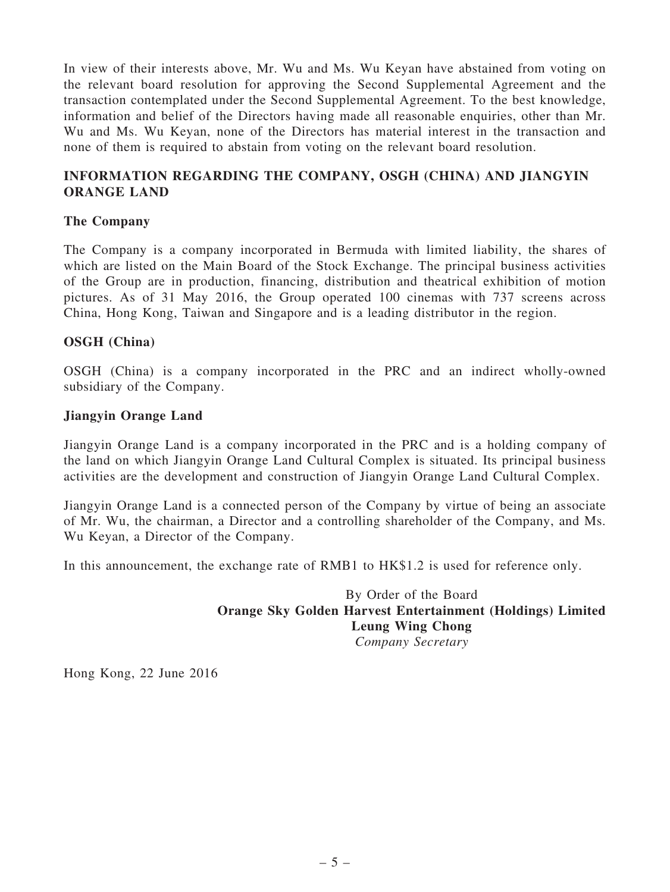In view of their interests above, Mr. Wu and Ms. Wu Keyan have abstained from voting on the relevant board resolution for approving the Second Supplemental Agreement and the transaction contemplated under the Second Supplemental Agreement. To the best knowledge, information and belief of the Directors having made all reasonable enquiries, other than Mr. Wu and Ms. Wu Keyan, none of the Directors has material interest in the transaction and none of them is required to abstain from voting on the relevant board resolution.

## INFORMATION REGARDING THE COMPANY, OSGH (CHINA) AND JIANGYIN ORANGE LAND

#### The Company

The Company is a company incorporated in Bermuda with limited liability, the shares of which are listed on the Main Board of the Stock Exchange. The principal business activities of the Group are in production, financing, distribution and theatrical exhibition of motion pictures. As of 31 May 2016, the Group operated 100 cinemas with 737 screens across China, Hong Kong, Taiwan and Singapore and is a leading distributor in the region.

#### OSGH (China)

OSGH (China) is a company incorporated in the PRC and an indirect wholly-owned subsidiary of the Company.

#### Jiangyin Orange Land

Jiangyin Orange Land is a company incorporated in the PRC and is a holding company of the land on which Jiangyin Orange Land Cultural Complex is situated. Its principal business activities are the development and construction of Jiangyin Orange Land Cultural Complex.

Jiangyin Orange Land is a connected person of the Company by virtue of being an associate of Mr. Wu, the chairman, a Director and a controlling shareholder of the Company, and Ms. Wu Keyan, a Director of the Company.

In this announcement, the exchange rate of RMB1 to HK\$1.2 is used for reference only.

By Order of the Board Orange Sky Golden Harvest Entertainment (Holdings) Limited Leung Wing Chong *Company Secretary*

Hong Kong, 22 June 2016